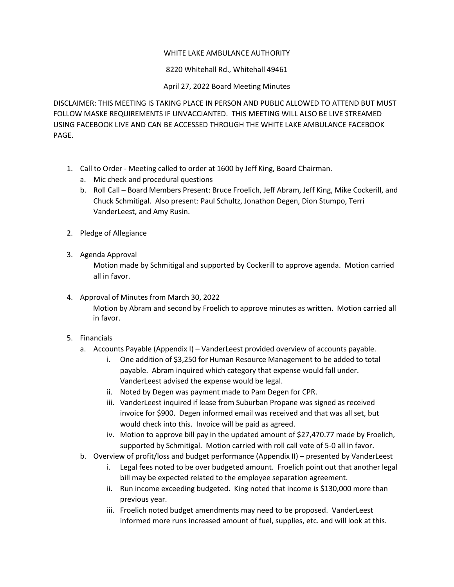## WHITE LAKE AMBULANCE AUTHORITY

8220 Whitehall Rd., Whitehall 49461

## April 27, 2022 Board Meeting Minutes

DISCLAIMER: THIS MEETING IS TAKING PLACE IN PERSON AND PUBLIC ALLOWED TO ATTEND BUT MUST FOLLOW MASKE REQUIREMENTS IF UNVACCIANTED. THIS MEETING WILL ALSO BE LIVE STREAMED USING FACEBOOK LIVE AND CAN BE ACCESSED THROUGH THE WHITE LAKE AMBULANCE FACEBOOK PAGE.

- 1. Call to Order Meeting called to order at 1600 by Jeff King, Board Chairman.
	- a. Mic check and procedural questions
	- b. Roll Call Board Members Present: Bruce Froelich, Jeff Abram, Jeff King, Mike Cockerill, and Chuck Schmitigal. Also present: Paul Schultz, Jonathon Degen, Dion Stumpo, Terri VanderLeest, and Amy Rusin.
- 2. Pledge of Allegiance
- 3. Agenda Approval

Motion made by Schmitigal and supported by Cockerill to approve agenda. Motion carried all in favor.

- 4. Approval of Minutes from March 30, 2022 Motion by Abram and second by Froelich to approve minutes as written. Motion carried all in favor.
- 5. Financials
	- a. Accounts Payable (Appendix I) VanderLeest provided overview of accounts payable.
		- i. One addition of \$3,250 for Human Resource Management to be added to total payable. Abram inquired which category that expense would fall under. VanderLeest advised the expense would be legal.
		- ii. Noted by Degen was payment made to Pam Degen for CPR.
		- iii. VanderLeest inquired if lease from Suburban Propane was signed as received invoice for \$900. Degen informed email was received and that was all set, but would check into this. Invoice will be paid as agreed.
		- iv. Motion to approve bill pay in the updated amount of \$27,470.77 made by Froelich, supported by Schmitigal. Motion carried with roll call vote of 5-0 all in favor.
	- b. Overview of profit/loss and budget performance (Appendix II) presented by VanderLeest
		- i. Legal fees noted to be over budgeted amount. Froelich point out that another legal bill may be expected related to the employee separation agreement.
		- ii. Run income exceeding budgeted. King noted that income is \$130,000 more than previous year.
		- iii. Froelich noted budget amendments may need to be proposed. VanderLeest informed more runs increased amount of fuel, supplies, etc. and will look at this.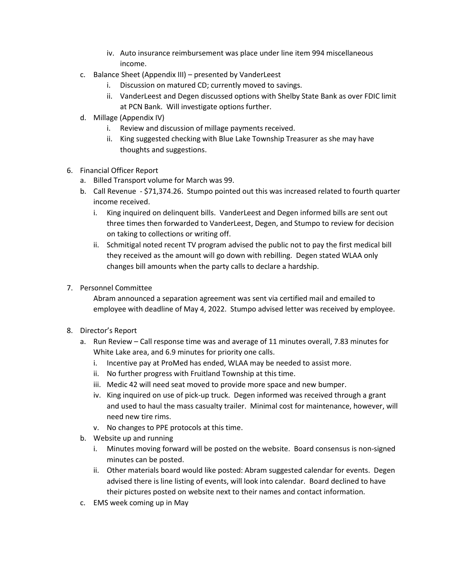- iv. Auto insurance reimbursement was place under line item 994 miscellaneous income.
- c. Balance Sheet (Appendix III) presented by VanderLeest
	- i. Discussion on matured CD; currently moved to savings.
	- ii. VanderLeest and Degen discussed options with Shelby State Bank as over FDIC limit at PCN Bank. Will investigate options further.
- d. Millage (Appendix IV)
	- i. Review and discussion of millage payments received.
	- ii. King suggested checking with Blue Lake Township Treasurer as she may have thoughts and suggestions.
- 6. Financial Officer Report
	- a. Billed Transport volume for March was 99.
	- b. Call Revenue \$71,374.26. Stumpo pointed out this was increased related to fourth quarter income received.
		- i. King inquired on delinquent bills. VanderLeest and Degen informed bills are sent out three times then forwarded to VanderLeest, Degen, and Stumpo to review for decision on taking to collections or writing off.
		- ii. Schmitigal noted recent TV program advised the public not to pay the first medical bill they received as the amount will go down with rebilling. Degen stated WLAA only changes bill amounts when the party calls to declare a hardship.
- 7. Personnel Committee

Abram announced a separation agreement was sent via certified mail and emailed to employee with deadline of May 4, 2022. Stumpo advised letter was received by employee.

- 8. Director's Report
	- a. Run Review Call response time was and average of 11 minutes overall, 7.83 minutes for White Lake area, and 6.9 minutes for priority one calls.
		- i. Incentive pay at ProMed has ended, WLAA may be needed to assist more.
		- ii. No further progress with Fruitland Township at this time.
		- iii. Medic 42 will need seat moved to provide more space and new bumper.
		- iv. King inquired on use of pick-up truck. Degen informed was received through a grant and used to haul the mass casualty trailer. Minimal cost for maintenance, however, will need new tire rims.
		- v. No changes to PPE protocols at this time.
	- b. Website up and running
		- i. Minutes moving forward will be posted on the website. Board consensus is non-signed minutes can be posted.
		- ii. Other materials board would like posted: Abram suggested calendar for events. Degen advised there is line listing of events, will look into calendar. Board declined to have their pictures posted on website next to their names and contact information.
	- c. EMS week coming up in May